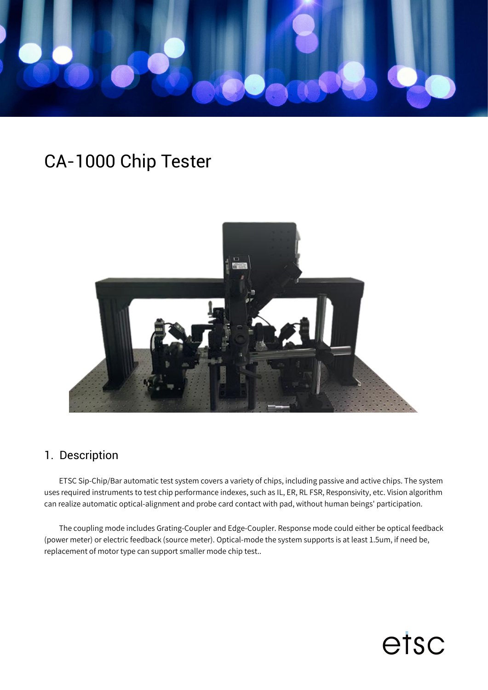

# CA-1000 Chip Tester



#### 1. Description

ETSC Sip-Chip/Bar automatic test system covers a variety of chips, including passive and active chips. The system uses required instruments to test chip performance indexes, such as IL, ER, RL FSR, Responsivity, etc. Vision algorithm can realize automatic optical-alignment and probe card contact with pad, without human beings' participation.

The coupling mode includes Grating-Coupler and Edge-Coupler. Response mode could either be optical feedback (power meter) or electric feedback (source meter). Optical-mode the system supports is at least 1.5um, if need be, replacement of motor type can support smaller mode chip test..

etsc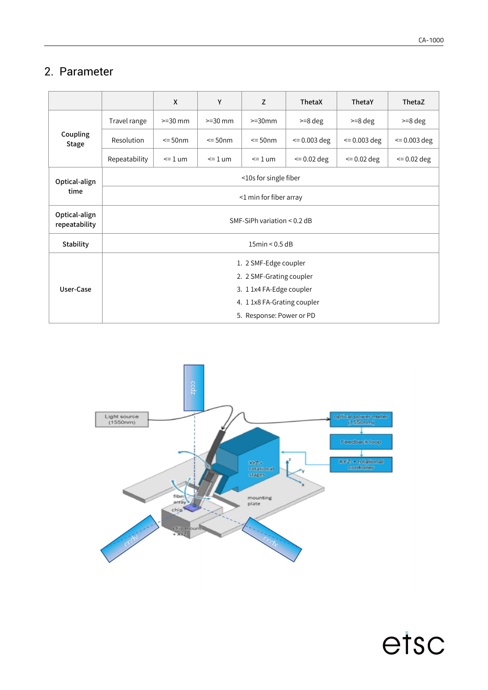etsc

#### 2. Parameter

|                                |                             | X           | Y          | Z         | ThetaX        | ThetaY        | ThetaZ        |  |
|--------------------------------|-----------------------------|-------------|------------|-----------|---------------|---------------|---------------|--|
| Coupling<br>Stage              | Travel range                | $>=$ 30 mm  | $>=$ 30 mm | $>=30$ mm | $>=8$ deg     | $>=8$ deg     | $>=8$ deg     |  |
|                                | Resolution                  | $\leq$ 50nm | $= 50$ nm  | $= 50$ nm | $= 0.003$ deg | $= 0.003$ deg | $= 0.003$ deg |  |
|                                | Repeatability               | $= 1$ um    | $=1$ um    | $=1$ um   | $= 0.02$ deg  | $= 0.02$ deg  | $= 0.02$ deg  |  |
| Optical-align<br>time          | <10s for single fiber       |             |            |           |               |               |               |  |
|                                | <1 min for fiber array      |             |            |           |               |               |               |  |
| Optical-align<br>repeatability | SMF-SiPh variation < 0.2 dB |             |            |           |               |               |               |  |
| Stability                      | 15min < 0.5dB               |             |            |           |               |               |               |  |
| User-Case                      | 1. 2 SMF-Edge coupler       |             |            |           |               |               |               |  |
|                                | 2. 2 SMF-Grating coupler    |             |            |           |               |               |               |  |
|                                | 3. 1 1x4 FA-Edge coupler    |             |            |           |               |               |               |  |
|                                | 4. 1 1x8 FA-Grating coupler |             |            |           |               |               |               |  |
|                                | 5. Response: Power or PD    |             |            |           |               |               |               |  |

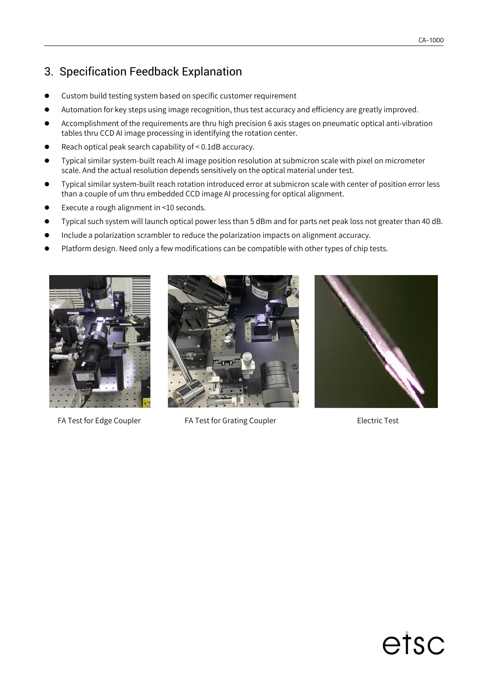## 3. Specification Feedback Explanation

- Custom build testing system based on specific customer requirement
- Automation for key steps using image recognition, thus test accuracy and efficiency are greatly improved.
- Accomplishment of the requirements are thru high precision 6 axis stages on pneumatic optical anti-vibration tables thru CCD AI image processing in identifying the rotation center.
- Reach optical peak search capability of < 0.1dB accuracy.
- Typical similar system-built reach AI image position resolution at submicron scale with pixel on micrometer scale. And the actual resolution depends sensitively on the optical material under test.
- Typical similar system-built reach rotation introduced error at submicron scale with center ofposition error less than a couple of um thru embedded CCD image AI processing for optical alignment.
- Execute a rough alignment in <10 seconds.
- Typical such system will launch optical power less than 5 dBm and for parts net peak loss not greater than 40 dB.
- **Include a polarization scrambler to reduce the polarization impacts on alignment accuracy.**
- Platform design. Need only a few modifications can be compatible with other types of chip tests.



FA Test for Edge Coupler FA Test for Grating Coupler Factor Fest





# etsc